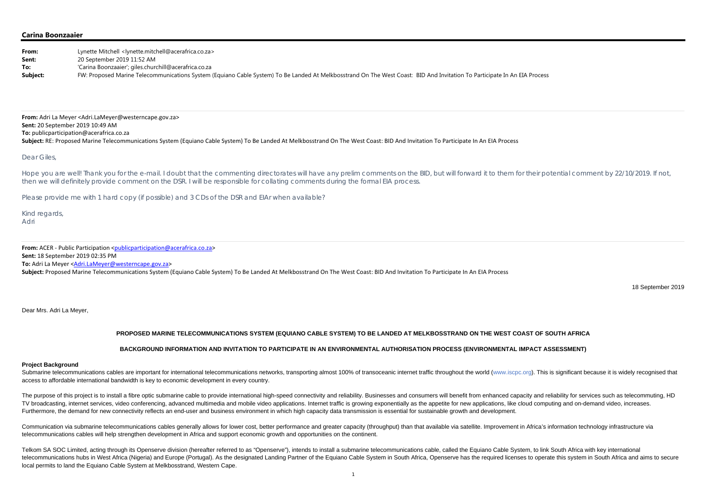## **Carina Boonzaaier**

**From:** Adri La Meyer <Adri.LaMeyer@westerncape.gov.za> **Sent:** 20 September 2019 10:49 AM **To:** publicparticipation@acerafrica.co.za Subject: RE: Proposed Marine Telecommunications System (Equiano Cable System) To Be Landed At Melkbosstrand On The West Coast: BID And Invitation To Participate In An EIA Process

| From:    | Lynette Mitchell <lynette.mitchell@acerafrica.co.za></lynette.mitchell@acerafrica.co.za>                                                                                  |
|----------|---------------------------------------------------------------------------------------------------------------------------------------------------------------------------|
| Sent:    | 20 September 2019 11:52 AM                                                                                                                                                |
| To:      | 'Carina Boonzaaier'; giles.churchill@acerafrica.co.za                                                                                                                     |
| Subject: | FW: Proposed Marine Telecommunications System (Equiano Cable System) To Be Landed At Melkbosstrand On The West Coast: BID And Invitation To Participate In An EIA Process |

Hope you are well! Thank you for the e-mail. I doubt that the commenting directorates will have any prelim comments on the BID, but will forward it to them for their potential comment by 22/10/2019. If not, then we will definitely provide comment on the DSR. I will be responsible for collating comments during the formal EIA process.

## Dear Giles,

Please provide me with 1 hard copy (if possible) and 3 CDs of the DSR and EIAr when available?

Submarine telecommunications cables are important for international telecommunications networks, transporting almost 100% of transoceanic internet traffic throughout the world (www.iscpc.org). This is significant because i access to affordable international bandwidth is key to economic development in every country.

Kind regards, Adri

**From:** ACER ‐ Public Participation <publicparticipation@acerafrica.co.za> **Sent:** 18 September 2019 02:35 PM **To:** Adri La Meyer <<u>Adri.LaMeyer@westerncape.gov.za</u>> **Subject:** Proposed Marine Telecommunications System (Equiano Cable System) To Be Landed At Melkbosstrand On The West Coast: BID And Invitation To Participate In An EIA Process

The purpose of this project is to install a fibre optic submarine cable to provide international high-speed connectivity and reliability. Businesses and consumers will benefit from enhanced capacity and reliability for ser TV broadcasting, internet services, video conferencing, advanced multimedia and mobile video applications. Internet traffic is growing exponentially as the appetite for new applications, like cloud computing and on-demand Furthermore, the demand for new connectivity reflects an end-user and business environment in which high capacity data transmission is essential for sustainable growth and development.

18 September 2019

Dear Mrs. Adri La Meyer,

# **PROPOSED MARINE TELECOMMUNICATIONS SYSTEM (EQUIANO CABLE SYSTEM) TO BE LANDED AT MELKBOSSTRAND ON THE WEST COAST OF SOUTH AFRICA**

Communication via submarine telecommunications cables generally allows for lower cost, better performance and greater capacity (throughput) than that available via satellite. Improvement in Africa's information technology telecommunications cables will help strengthen development in Africa and support economic growth and opportunities on the continent.

# **BACKGROUND INFORMATION AND INVITATION TO PARTICIPATE IN AN ENVIRONMENTAL AUTHORISATION PROCESS (ENVIRONMENTAL IMPACT ASSESSMENT)**

#### **Project Background**

Telkom SA SOC Limited, acting through its Openserve division (hereafter referred to as "Openserve"), intends to install a submarine telecommunications cable, called the Equiano Cable System, to link South Africa with key i telecommunications hubs in West Africa (Nigeria) and Europe (Portugal). As the designated Landing Partner of the Equiano Cable System in South Africa, Openserve has the required licenses to operate this system in South Afr local permits to land the Equiano Cable System at Melkbosstrand, Western Cape.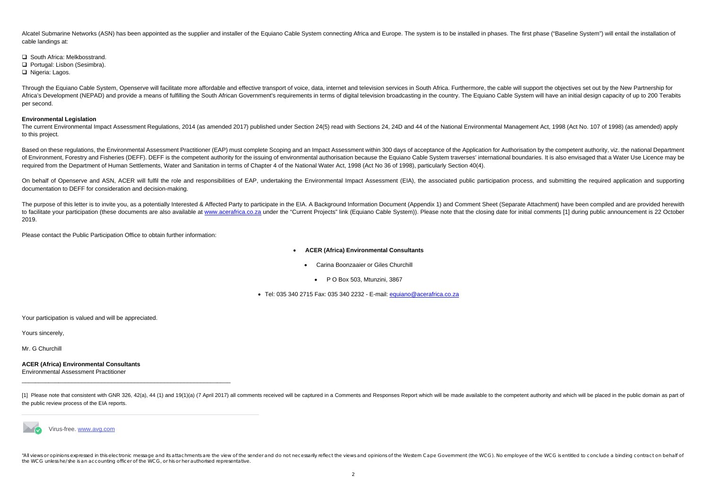Alcatel Submarine Networks (ASN) has been appointed as the supplier and installer of the Equiano Cable System connecting Africa and Europe. The system is to be installed in phases. The first phase ("Baseline System") will cable landings at:

**□** South Africa: Melkbosstrand.

**□ Portugal: Lisbon (Sesimbra).** 

□ Nigeria: Lagos.

Through the Equiano Cable System, Openserve will facilitate more affordable and effective transport of voice, data, internet and television services in South Africa. Furthermore, the cable will support the objectives set o Africa's Development (NEPAD) and provide a means of fulfilling the South African Government's requirements in terms of digital television broadcasting in the country. The Equiano Cable System will have an initial design ca per second.

The current Environmental Impact Assessment Regulations, 2014 (as amended 2017) published under Section 24(5) read with Sections 24, 24D and 44 of the National Environmental Management Act, 1998 (Act No. 107 of 1998) (as a to this project.

## **Environmental Legislation**

Based on these regulations, the Environmental Assessment Practitioner (EAP) must complete Scoping and an Impact Assessment within 300 days of acceptance of the Application for Authorisation by the competent authority, viz. of Environment, Forestry and Fisheries (DEFF). DEFF is the competent authority for the issuing of environmental authorisation because the Equiano Cable System traverses' international boundaries. It is also envisaged that required from the Department of Human Settlements, Water and Sanitation in terms of Chapter 4 of the National Water Act, 1998 (Act No 36 of 1998), particularly Section 40(4).

On behalf of Openserve and ASN, ACER will fulfil the role and responsibilities of EAP, undertaking the Environmental Impact Assessment (EIA), the associated public participation process, and submitting the required applica documentation to DEFF for consideration and decision-making.

The purpose of this letter is to invite you, as a potentially Interested & Affected Party to participate in the EIA. A Background Information Document (Appendix 1) and Comment Sheet (Separate Attachment) have been compiled to facilitate your participation (these documents are also available at www.acerafrica.co.za under the "Current Projects" link (Equiano Cable System)). Please note that the closing date for initial comments [1] during publ 2019.

- . **ACER (Africa) Environmental Consultants** 
	- $\bullet$  Carina Boonzaaier or Giles Churchill
		- P O Box 503, Mtunzini, 3867

● Tel: 035 340 2715 Fax: 035 340 2232 - E-mail: <u>equiano@acerafrica.co.za</u>

[1] Please note that consistent with GNR 326, 42(a), 44 (1) and 19(1)(a) (7 April 2017) all comments received will be captured in a Comments and Responses Report which will be made available to the competent authority and the public review process of the EIA reports.



"All views or opinions expressed in this electronic message and its attachments are the view of the sender and do not necessarily reflect the views and opinions of the Western Cape Government (the WCG). No employee of the the WCG unless he/she is an accounting officer of the WCG, or his or her authorised representative.

Please contact the Public Participation Office to obtain further information:

Your participation is valued and will be appreciated.

Yours sincerely,

Mr. G Churchill

**ACER (Africa) Environmental Consultants**  Environmental Assessment Practitioner

Virus-free. www.avg.com